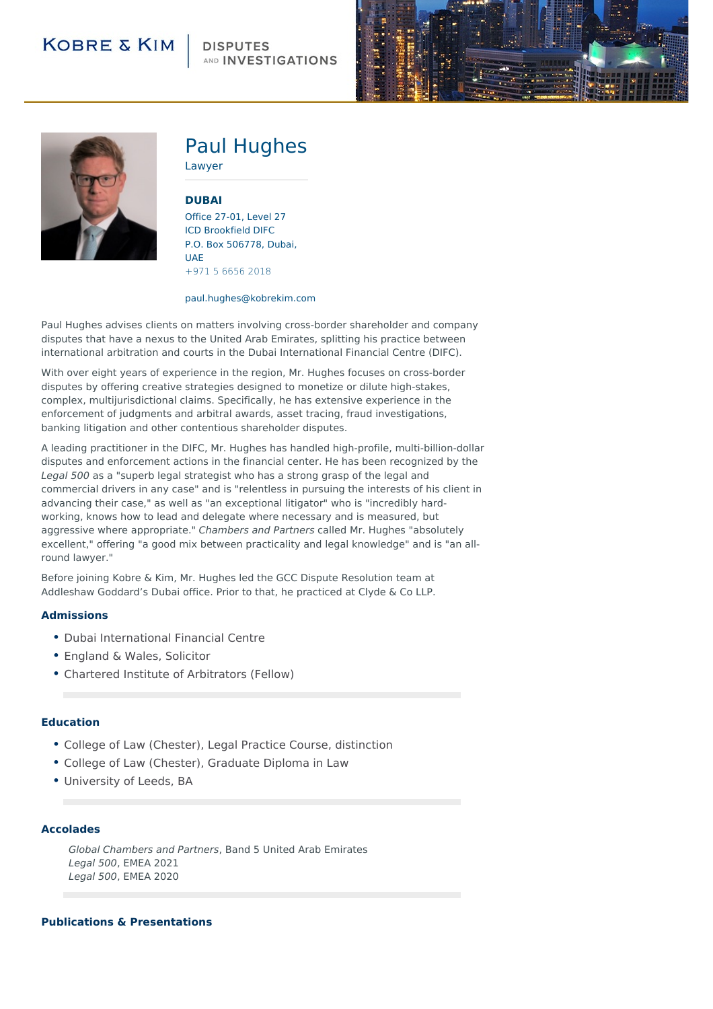# **KOBRE & KIM**

## **DISPUTES** AND **INVESTIGATIONS**





# Paul Hughes

Lawyer

### **[DUBAI](http://104.130.141.44/locations/dubai)**

Office 27-01, Level 27 ICD Brookfield DIFC P.O. Box 506778, Dubai, UAE +971 5 6656 2018

#### paul.hughes@kobrekim.com

Paul Hughes advises clients on matters involving cross-border shareholder and company disputes that have a nexus to the United Arab Emirates, splitting his practice between international arbitration and courts in the Dubai International Financial Centre (DIFC).

With over eight years of experience in the region, Mr. Hughes focuses on cross-border disputes by offering creative strategies designed to monetize or dilute high-stakes, complex, multijurisdictional claims. Specifically, he has extensive experience in the enforcement of judgments and arbitral awards, asset tracing, fraud investigations, banking litigation and other contentious shareholder disputes.

A leading practitioner in the DIFC, Mr. Hughes has handled high-profile, multi-billion-dollar disputes and enforcement actions in the financial center. He has been recognized by the Legal 500 as a "superb legal strategist who has a strong grasp of the legal and commercial drivers in any case" and is "relentless in pursuing the interests of his client in advancing their case," as well as "an exceptional litigator" who is "incredibly hardworking, knows how to lead and delegate where necessary and is measured, but aggressive where appropriate." Chambers and Partners called Mr. Hughes "absolutely excellent," offering "a good mix between practicality and legal knowledge" and is "an allround lawyer."

Before joining Kobre & Kim, Mr. Hughes led the GCC Dispute Resolution team at Addleshaw Goddard's Dubai office. Prior to that, he practiced at Clyde & Co LLP.

#### **Admissions**

- Dubai International Financial Centre
- England & Wales, Solicitor
- Chartered Institute of Arbitrators (Fellow)

#### **Education**

- College of Law (Chester), Legal Practice Course, distinction
- College of Law (Chester), Graduate Diploma in Law
- University of Leeds, BA

#### **Accolades**

Global Chambers and Partners, Band 5 United Arab Emirates Legal 500, EMEA 2021 Legal 500, EMEA 2020

#### **Publications & Presentations**